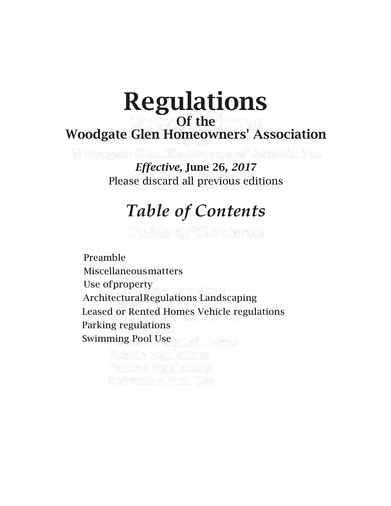# Regulations Of the Woodgate Glen Homeowners' Association

*Effective,* June 26*, 201*7 Please discard all previous editions

Y touting in Class, The said and and Augustic field

# *Table of Contents*

The Sea of Contact of

Preamble Miscellaneousmatters Use ofproperty ArchitecturalRegulations Landscaping Leased or Rented Homes Vehicle regulations Parking regulations Swimming Pool Use

Batanice Foll Te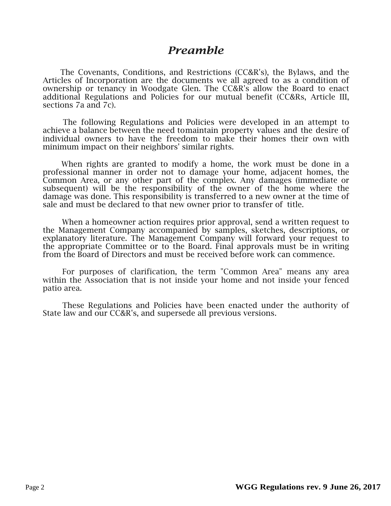### *Preamble*

The Covenants, Conditions, and Restrictions (CC&R's), the Bylaws, and the Articles of Incorporation are the documents we all agreed to as a condition of ownership or tenancy in Woodgate Glen. The CC&R's allow the Board to enact additional Regulations and Policies for our mutual benefit (CC&Rs, Article III, sections 7a and 7c).

The following Regulations and Policies were developed in an attempt to achieve a balance between the need tomaintain property values and the desire of individual owners to have the freedom to make their homes their own with minimum impact on their neighbors' similar rights.

When rights are granted to modify a home, the work must be done in a professional manner in order not to damage your home, adjacent homes, the Common Area, or any other part of the complex. Any damages (immediate or subsequent) will be the responsibility of the owner of the home where the damage was done. This responsibility is transferred to a new owner at the time of sale and must be declared to that new owner prior to transfer of title.

When a homeowner action requires prior approval, send a written request to the Management Company accompanied by samples, sketches, descriptions, or explanatory literature. The Management Company will forward your request to the appropriate Committee or to the Board. Final approvals must be in writing from the Board of Directors and must be received before work can commence.

For purposes of clarification, the term "Common Area" means any area within the Association that is not inside your home and not inside your fenced patio area.

These Regulations and Policies have been enacted under the authority of State law and our CC&R's, and supersede all previous versions.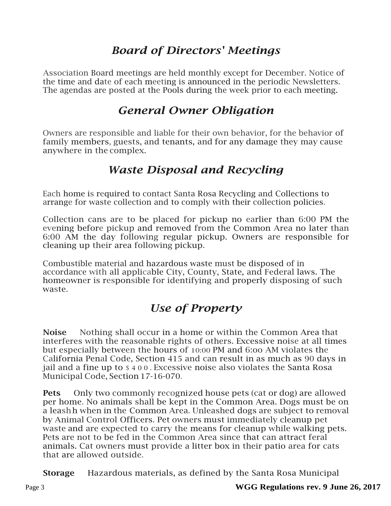### *Board of Directors' Meetings*

Association Board meetings are held monthly except for December. Notice of the time and date of each meeting is announced in the periodic Newsletters. The agendas are posted at the Pools during the week prior to each meeting.

### *General Owner Obligation*

Owners are responsible and liable for their own behavior, for the behavior of family members, guests, and tenants, and for any damage they may cause anywhere in the complex.

### *Waste Disposal and Recycling*

Each home is required to contact Santa Rosa Recycling and Collections to arrange for waste collection and to comply with their collection policies.

Collection cans are to be placed for pickup no earlier than 6:00 PM the evening before pickup and removed from the Common Area no later than 6:00 AM the day following regular pickup. Owners are responsible for cleaning up their area following pickup.

Combustible material and hazardous waste must be disposed of in accordance with all applicable City, County, State, and Federal laws. The homeowner is responsible for identifying and properly disposing of such waste.

## *Use of Property*

**Noise** Nothing shall occur in a home or within the Common Area that interferes with the reasonable rights of others. Excessive noise at all times but especially between the hours of 10:00 PM and 6:oo AM violates the California Penal Code, Section 415 and can result in as much as 90 days in jail and a fine up to \$ 4 0 0 . Excessive noise also violates the Santa Rosa Municipal Code, Section 17-16-070.

**Pets** Only two commonly recognized house pets (cat or dog) are allowed per home. No animals shall be kept in the Common Area. Dogs must be on a leashh when in the Common Area. Unleashed dogs are subject to removal by Animal Control Officers. Pet owners must immediately cleanup pet waste and are expected to carry the means for cleanup while walking pets. Pets are not to be fed in the Common Area since that can attract feral animals. Cat owners must provide a litter box in their patio area for cats that are allowed outside.

**Storage** Hazardous materials, as defined by the Santa Rosa Municipal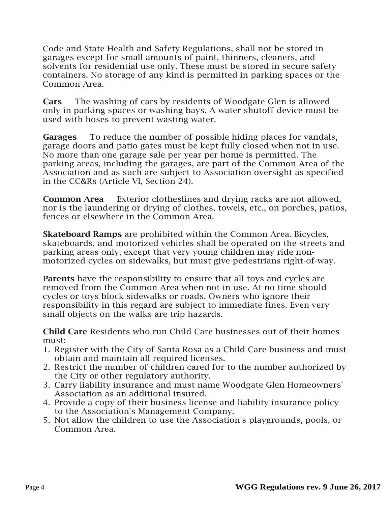Code and State Health and Safety Regulations, shall not be stored in garages except for small amounts of paint, thinners, cleaners, and solvents for residential use only. These must be stored in secure safety containers. No storage of any kind is permitted in parking spaces or the Common Area.

Cars The washing of cars by residents of Woodgate Glen is allowed only in parking spaces or washing bays. A water shutoff device must be used with hoses to prevent wasting water.

Garages To reduce the number of possible hiding places for vandals, garage doors and patio gates must be kept fully closed when not in use. No more than one garage sale per year per home is permitted. The parking areas, including the garages, are part of the Common Area of the Association and as such are subject to Association oversight as specified in the CC&Rs (Article VI, Section 24).

**Common Area** Exterior clotheslines and drying racks are not allowed, nor is the laundering or drying of clothes, towels, etc., on porches, patios, fences or elsewhere in the Common Area.

Skateboard Ramps are prohibited within the Common Area. Bicycles, skateboards, and motorized vehicles shall be operated on the streets and parking areas only, except that very young children may ride nonmotorized cycles on sidewalks, but must give pedestrians right-of-way.

Parents have the responsibility to ensure that all toys and cycles are removed from the Common Area when not in use. At no time should cycles or toys block sidewalks or roads. Owners who ignore their responsibility in this regard are subject to immediate fines. Even very small objects on the walks are trip hazards.

Child Care Residents who run Child Care businesses out of their homes must:

- 1. Register with the City of Santa Rosa as a Child Care business and must obtain and maintain all required licenses.
- 2. Restrict the number of children cared for to the number authorized by the City or other regulatory authority.
- 3. Carry liability insurance and must name Woodgate Glen Homeowners' Association as an additional insured.
- 4. Provide a copy of their business license and liability insurance policy to the Association's Management Company.
- 5. Not allow the children to use the Association's playgrounds, pools, or Common Area.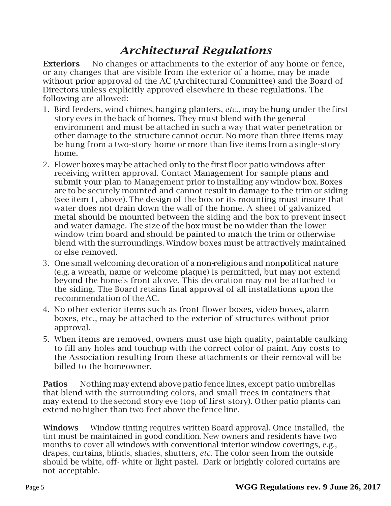# *Architectural Regulations*

**Exteriors** No changes or attachments to the exterior of any home or fence, or any changes that are visible from the exterior of a home, may be made without prior approval of the AC (Architectural Committee) and the Board of Directors unless explicitly approved elsewhere in these regulations. The following are allowed:

- 1. Bird feeders, wind chimes, hanging planters, *etc.,* may be hung under the first story eves in the back of homes. They must blend with the general environment and must be attached in such a way that water penetration or other damage to the structure cannot occur. No more than three items may be hung from a two-story home or more than five items from a single-story home.
- 2. Flower boxes maybe attached only to the first floor patio windows after receiving written approval. Contact Management for sample plans and submit your plan to Management prior to installing any window box. Boxes are to be securely mounted and cannot result in damage to the trim or siding (see item 1, above). The design of the box or its mounting must insure that water does not drain down the wall of the home. A sheet of galvanized metal should be mounted between the siding and the box to prevent insect and water damage. The size of the box must be no wider than the lower window trim board and should be painted to match the trim or otherwise blend with the surroundings. Window boxes must be attractively maintained or else removed.
- 3. One small welcoming decoration of a non-religious and nonpolitical nature (e.g. a wreath, name or welcome plaque) is permitted, but may not extend beyond the home's front alcove. This decoration may not be attached to the siding. The Board retains final approval of all installations upon the recommendation of the AC.
- 4. No other exterior items such as front flower boxes, video boxes, alarm boxes, etc., may be attached to the exterior of structures without prior approval.
- 5. When items are removed, owners must use high quality, paintable caulking to fill any holes and touchup with the correct color of paint. Any costs to the Association resulting from these attachments or their removal will be billed to the homeowner.

Patios Nothing may extend above patiofence lines, except patio umbrellas that blend with the surrounding colors, and small trees in containers that may extend to the second story eve (top of first story). Other patio plants can extend no higher than two feet above the fence line.

Windows Window tinting requires written Board approval. Once installed, the tint must be maintained in good condition. New owners and residents have two months to cover all windows with conventional interior window coverings, e.g., drapes, curtains, blinds, shades, shutters, *etc.* The color seen from the outside should be white, off-white or light pastel. Dark or brightly colored curtains are not acceptable.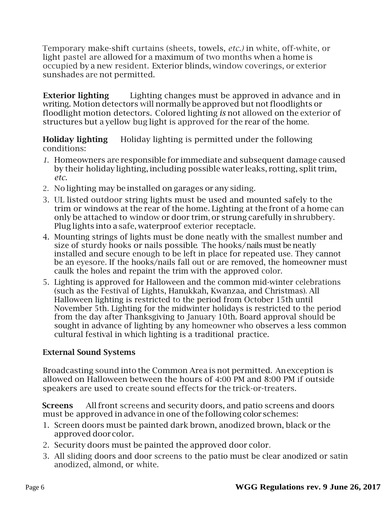Temporary make-shift curtains (sheets, towels, *etc.)* in white, off-white, or light pastel are allowed for a maximum of two months when a home is occupied by a new resident. Exterior blinds, window coverings, or exterior sunshades are not permitted.

**Exterior lighting** Lighting changes must be approved in advance and in writing. Motion detectors will normally be approved but not floodlights or floodlight motion detectors. Colored lighting *is* not allowed on the exterior of structures but a yellow bug light is approved for the rear of the home.

Holiday lighting Holiday lighting is permitted under the following conditions:

- *1.* Homeowners are responsible for immediate and subsequent damage caused by their holiday lighting, including possible water leaks, rotting, split trim, *etc.*
- 2. No lighting may be installed on garages or any siding.
- 3. UL listed outdoor string lights must be used and mounted safely to the trim or windows at the rear of the home. Lighting at the front of a home can only be attached to window or door trim, or strung carefully in shrubbery. Plug lights into a safe, waterproof exterior receptacle.
- 4. Mounting strings of lights must be done neatly with the smallest number and size of sturdy hooks or nails possible. The hooks/nails must be neatly installed and secure enough to be left in place for repeated use. They cannot be an eyesore. If the hooks/nails fall out or are removed, the homeowner must caulk the holes and repaint the trim with the approved color.
- 5. Lighting is approved for Halloween and the common mid-winter celebrations (such as the Festival of Lights, Hanukkah, Kwanzaa, and Christmas). All Halloween lighting is restricted to the period from October 15th until November 5th. Lighting for the midwinter holidays is restricted to the period from the day after Thanksgiving to January 10th. Board approval should be sought in advance of lighting by any homeowner who observes a less common cultural festival in which lighting is a traditional practice.

#### External Sound Systems

Broadcasting sound into the Common Area is not permitted. Anexception is allowed on Halloween between the hours of 4:00 PM and 8:00 PM if outside speakers are used to create sound effects for the trick-or-treaters.

Screens All front screens and security doors, and patio screens and doors must be approved in advance in one of the following color schemes:

- 1. Screen doors must be painted dark brown, anodized brown, black or the approved door color.
- 2. Security doors must be painted the approved door color.
- 3. All sliding doors and door screens to the patio must be clear anodized or satin anodized, almond, or white.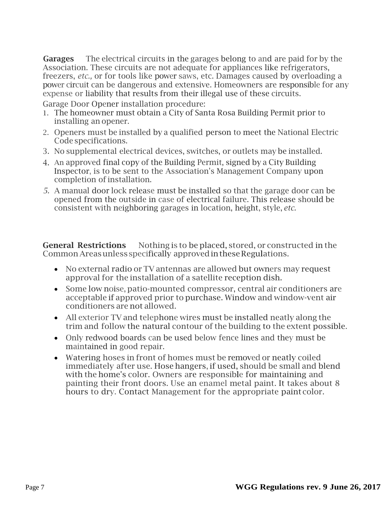**Garages** The electrical circuits in the garages belong to and are paid for by the Association. These circuits are not adequate for appliances like refrigerators, freezers, *etc.,* or for tools like power saws, etc. Damages caused by overloading a power circuit can be dangerous and extensive. Homeowners are responsible for any expense or liability that results from their illegal use of these circuits.

Garage Door Opener installation procedure:

- 1. The homeowner must obtain a City of Santa Rosa Building Permit prior to installing an opener.
- 2. Openers must be installed by a qualified person to meet the National Electric Code specifications.
- 3. No supplemental electrical devices, switches, or outlets may be installed.
- 4. An approved final copy of the Building Permit, signed by a City Building Inspector, is to be sent to the Association's Management Company upon completion of installation.
- *5.* A manual door lock release must be installed so that the garage door can be opened from the outside in case of electrical failure. This release should be consistent with neighboring garages in location, height, style, *etc.*

**General Restrictions** Nothing is to be placed, stored, or constructed in the Common Areas unless specifically approved in these Regulations.

- No external radio or TV antennas are allowed but owners may request approval for the installation of a satellite reception dish.
- Some low noise, patio-mounted compressor, central air conditioners are acceptable if approved prior to purchase. Window and window-vent air conditioners are not allowed.
- All exterior TV and telephone wires must be installed neatly along the trim and follow the natural contour of the building to the extent possible.
- Only redwood boards can be used below fence lines and they must be maintained in good repair.
- Watering hoses in front of homes must be removed or neatly coiled immediately after use. Hose hangers, if used, should be small and blend with the home's color. Owners are responsible for maintaining and painting their front doors. Use an enamel metal paint. It takes about 8 hours to dry. Contact Management for the appropriate paint color.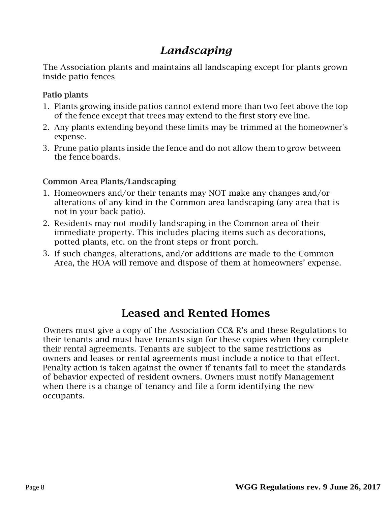# *Landscaping*

The Association plants and maintains all landscaping except for plants grown inside patio fences

#### Patio plants

- 1. Plants growing inside patios cannot extend more than two feet above the top of the fence except that trees may extend to the first story eve line.
- 2. Any plants extending beyond these limits may be trimmed at the homeowner's expense.
- 3. Prune patio plants inside the fence and do not allow them to grow between the fence boards.

#### Common Area Plants/Landscaping

- 1. Homeowners and/or their tenants may NOT make any changes and/or alterations of any kind in the Common area landscaping (any area that is not in your back patio).
- 2. Residents may not modify landscaping in the Common area of their immediate property. This includes placing items such as decorations, potted plants, etc. on the front steps or front porch.
- 3. If such changes, alterations, and/or additions are made to the Common Area, the HOA will remove and dispose of them at homeowners' expense.

### Leased and Rented Homes

Owners must give a copy of the Association CC& R's and these Regulations to their tenants and must have tenants sign for these copies when they complete their rental agreements. Tenants are subject to the same restrictions as owners and leases or rental agreements must include a notice to that effect. Penalty action is taken against the owner if tenants fail to meet the standards of behavior expected of resident owners. Owners must notify Management when there is a change of tenancy and file a form identifying the new occupants.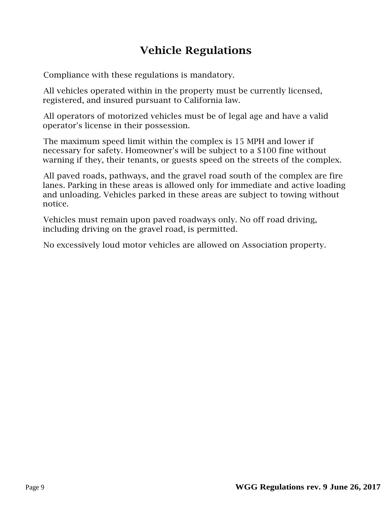# Vehicle Regulations

Compliance with these regulations is mandatory.

All vehicles operated within in the property must be currently licensed, registered, and insured pursuant to California law.

All operators of motorized vehicles must be of legal age and have a valid operator's license in their possession.

The maximum speed limit within the complex is 15 MPH and lower if necessary for safety. Homeowner's will be subject to a \$100 fine without warning if they, their tenants, or guests speed on the streets of the complex.

All paved roads, pathways, and the gravel road south of the complex are fire lanes. Parking in these areas is allowed only for immediate and active loading and unloading. Vehicles parked in these areas are subject to towing without notice.

Vehicles must remain upon paved roadways only. No off road driving, including driving on the gravel road, is permitted.

No excessively loud motor vehicles are allowed on Association property.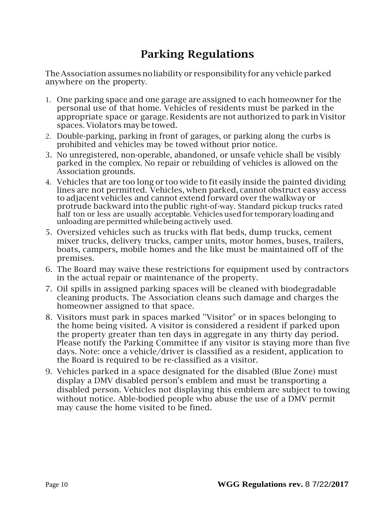### Parking Regulations

TheAssociation assumes noliability or responsibilityfor any vehicleparked anywhere on the property.

- 1. One parking space and one garage are assigned to each homeowner for the personal use of that home. Vehicles of residents must be parked in the appropriate space or garage. Residents are not authorized to park in Visitor spaces. Violators may be towed.
- 2. Double-parking, parking in front of garages, or parking along the curbs is prohibited and vehicles may be towed without prior notice.
- 3. No unregistered, non-operable, abandoned, or unsafe vehicle shall be visibly parked in the complex. No repair or rebuilding of vehicles is allowed on the Association grounds.
- 4. Vehicles that are too long or too wide to fit easily inside the painted dividing lines are not permitted. Vehicles, when parked, cannot obstruct easy access to adjacent vehicles and cannot extend forward over the walkway or protrude backward into the public right-of-way. Standard pickup trucks rated half ton or less are usually acceptable. Vehicles used for temporary loading and unloading arepermitted whilebeing actively used.
- 5. Oversized vehicles such as trucks with flat beds, dump trucks, cement mixer trucks, delivery trucks, camper units, motor homes, buses, trailers, boats, campers, mobile homes and the like must be maintained off of the premises.
- 6. The Board may waive these restrictions for equipment used by contractors in the actual repair or maintenance of the property.
- 7. Oil spills in assigned parking spaces will be cleaned with biodegradable cleaning products. The Association cleans such damage and charges the homeowner assigned to that space.
- 8. Visitors must park in spaces marked ''Visitor" or in spaces belonging to the home being visited. A visitor is considered a resident if parked upon the property greater than ten days in aggregate in any thirty day period. Please notify the Parking Committee if any visitor is staying more than five days. Note: once a vehicle/driver is classified as a resident, application to the Board is required to be re-classified as a visitor.
- 9. Vehicles parked in a space designated for the disabled (Blue Zone) must display a DMV disabled person's emblem and must be transporting a disabled person. Vehicles not displaying this emblem are subject to towing without notice. Able-bodied people who abuse the use of a DMV permit may cause the home visited to be fined.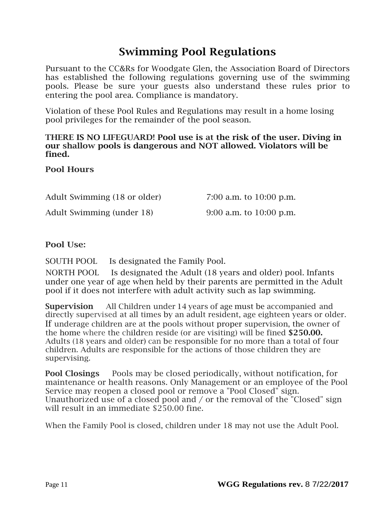### Swimming Pool Regulations

Pursuant to the CC&Rs for Woodgate Glen, the Association Board of Directors has established the following regulations governing use of the swimming pools. Please be sure your guests also understand these rules prior to entering the pool area. Compliance is mandatory.

Violation of these Pool Rules and Regulations may result in a home losing pool privileges for the remainder of the pool season.

#### THERE IS NO LIFEGUARD! Pool use is at the risk of the user. Diving in our shallow pools is dangerous and NOT allowed. Violators will be fined.

#### Pool Hours

Adult Swimming (18 or older) 7:00 a.m. to 10:00 p.m.

Adult Swimming (under 18) 9:00 a.m. to 10:00 p.m.

#### Pool Use:

SOUTH POOL Is designated the Family Pool.

NORTH POOL Is designated the Adult (18 years and older) pool. Infants under one year of age when held by their parents are permitted in the Adult pool if it does not interfere with adult activity such as lap swimming.

Supervision All Children under 14 years of age must be accompanied and directly supervised at all times by an adult resident, age eighteen years or older. If underage children are at the pools without proper supervision, the owner of the home where the children reside (or are visiting) will be fined \$250.00. Adults (18 years and older) can be responsible for no more than a total of four children. Adults are responsible for the actions of those children they are supervising.

Pool Closings Pools may be closed periodically, without notification, for maintenance or health reasons. Only Management or an employee of the Pool Service may reopen a closed pool or remove a "Pool Closed" sign. Unauthorized use of a closed pool and / or the removal of the "Closed" sign will result in an immediate \$250.00 fine.

When the Family Pool is closed, children under 18 may not use the Adult Pool.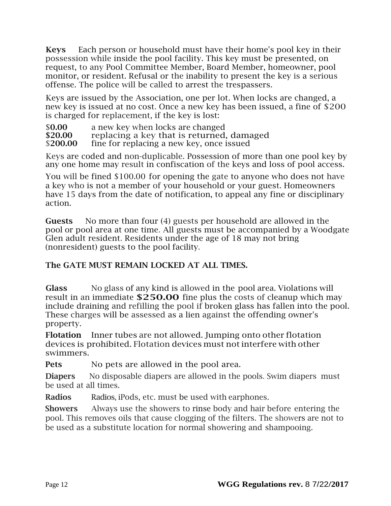Keys Each person or household must have their home's pool key in their possession while inside the pool facility. This key must be presented, on request, to any Pool Committee Member, Board Member, homeowner, pool monitor, or resident. Refusal or the inability to present the key is a serious offense. The police will be called to arrest the trespassers.

Keys are issued by the Association, one per lot. When locks are changed, a new key is issued at no cost. Once a new key has been issued, a fine of \$200 is charged for replacement, if the key is lost:

\$0.00 a new key when locks are changed<br>\$20.00 replacing a key that is returned. replacing a key that is returned, damaged \$200.00 fine for replacing a new key, once issued

Keys are coded and non-duplicable. Possession of more than one pool key by any one home may result in confiscation of the keys and loss of pool access.

You will be fined \$100.00 for opening the gate to anyone who does not have a key who is not a member of your household or your guest. Homeowners have 15 days from the date of notification, to appeal any fine or disciplinary action.

Guests No more than four (4) guests per household are allowed in the pool or pool area at one time. All guests must be accompanied by a Woodgate Glen adult resident. Residents under the age of 18 may not bring (nonresident) guests to the pool facility.

#### The GATE MUST REMAIN LOCKED AT ALL TIMES.

Glass No glass of any kind is allowed in the pool area. Violations will result in an immediate \$250.00 fine plus the costs of cleanup which may include draining and refilling the pool if broken glass has fallen into the pool. These charges will be assessed as a lien against the offending owner's property.

Flotation Inner tubes are not allowed. Jumping onto other flotation devices is prohibited. Flotation devices must not interfere with other swimmers.

**Pets** No pets are allowed in the pool area.

**Diapers** No disposable diapers are allowed in the pools. Swim diapers must be used at all times.

Radios Radios, iPods, etc. must be used with earphones.

Showers Always use the showers to rinse body and hair before entering the pool. This removes oils that cause clogging of the filters. The showers are not to be used as a substitute location for normal showering and shampooing.